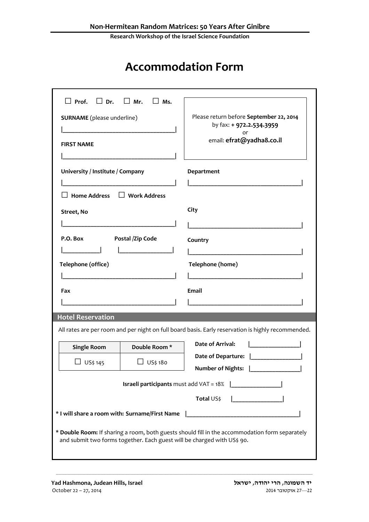**Research Workshop of the Israel Science Foundation**

## **Accommodation Form**

| $\Box$ Prof. $\Box$ Dr.                                                                                                                                                   | $\Box$ Mr.<br>Ms. |                                                                                                        |  |
|---------------------------------------------------------------------------------------------------------------------------------------------------------------------------|-------------------|--------------------------------------------------------------------------------------------------------|--|
| <b>SURNAME</b> (please underline)<br><b>FIRST NAME</b>                                                                                                                    |                   | Please return before September 22, 2014<br>by fax: + 972.2.534.3959<br>or<br>email: efrat@yadha8.co.il |  |
| University / Institute / Company<br>$\Box$ Work Address<br><b>Home Address</b>                                                                                            |                   | Department                                                                                             |  |
| Street, No                                                                                                                                                                |                   | City                                                                                                   |  |
| P.O. Box<br>Postal /Zip Code                                                                                                                                              |                   | Country                                                                                                |  |
| Telephone (office)                                                                                                                                                        |                   | Telephone (home)                                                                                       |  |
| Fax                                                                                                                                                                       |                   | Email                                                                                                  |  |
| <b>Hotel Reservation</b>                                                                                                                                                  |                   |                                                                                                        |  |
| All rates are per room and per night on full board basis. Early reservation is highly recommended.                                                                        |                   |                                                                                                        |  |
| <b>Single Room</b>                                                                                                                                                        | Double Room*      | <b>Date of Arrival:</b>                                                                                |  |
| US\$ 145                                                                                                                                                                  | US\$ 180          | Date of Departure:<br>Number of Nights:                                                                |  |
| <b>Israeli participants</b> must add VAT = 18%<br>$\mathbf{1}$ and $\mathbf{1}$ and $\mathbf{1}$ and $\mathbf{1}$                                                         |                   |                                                                                                        |  |
|                                                                                                                                                                           |                   | <b>Total</b> US\$                                                                                      |  |
| * I will share a room with: Surname/First Name                                                                                                                            |                   |                                                                                                        |  |
| * Double Room: If sharing a room, both guests should fill in the accommodation form separately<br>and submit two forms together. Each guest will be charged with US\$ 90. |                   |                                                                                                        |  |

\_\_\_\_\_\_\_\_\_\_\_\_\_\_\_\_\_\_\_\_\_\_\_\_\_\_\_\_\_\_\_\_\_\_\_\_\_\_\_\_\_\_\_\_\_\_\_\_\_\_\_\_\_\_\_\_\_\_\_\_\_\_\_\_\_\_\_\_\_\_\_\_\_\_\_\_\_\_\_\_\_\_\_\_\_\_\_\_\_\_\_\_\_\_\_\_\_\_\_\_\_\_\_\_\_\_\_\_\_\_\_\_\_\_\_\_\_\_\_\_\_\_\_\_\_\_\_\_\_\_\_\_\_\_\_\_\_\_